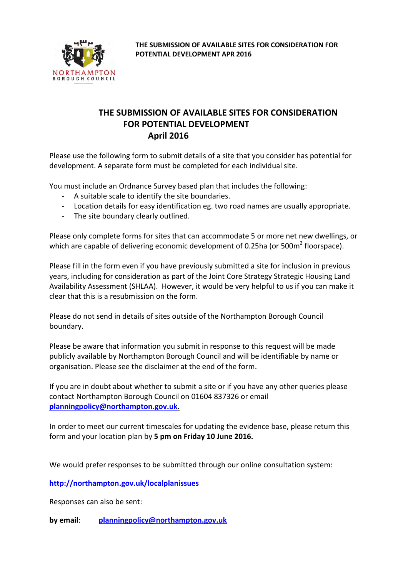

Please use the following form to submit details of a site that you consider has potential for development. A separate form must be completed for each individual site.

You must include an Ordnance Survey based plan that includes the following:

- A suitable scale to identify the site boundaries.
- Location details for easy identification eg. two road names are usually appropriate.
- The site boundary clearly outlined.

Please only complete forms for sites that can accommodate 5 or more net new dwellings, or which are capable of delivering economic development of 0.25ha (or 500 $m^2$  floorspace).

Please fill in the form even if you have previously submitted a site for inclusion in previous years, including for consideration as part of the Joint Core Strategy Strategic Housing Land Availability Assessment (SHLAA). However, it would be very helpful to us if you can make it clear that this is a resubmission on the form.

Please do not send in details of sites outside of the Northampton Borough Council boundary.

Please be aware that information you submit in response to this request will be made publicly available by Northampton Borough Council and will be identifiable by name or organisation. Please see the disclaimer at the end of the form.

If you are in doubt about whether to submit a site or if you have any other queries please contact Northampton Borough Council on 01604 837326 or email **[planningpolicy@northampton.gov.uk](mailto:planningpolicy@northampton.gov.uk)**.

In order to meet our current timescales for updating the evidence base, please return this form and your location plan by **5 pm on Friday 10 June 2016.**

We would prefer responses to be submitted through our online consultation system:

**<http://northampton.gov.uk/localplanissues>**

Responses can also be sent:

**by email**: **[planningpolicy@northampton.gov.uk](mailto:planningpolicy@northampton.gov.uk)**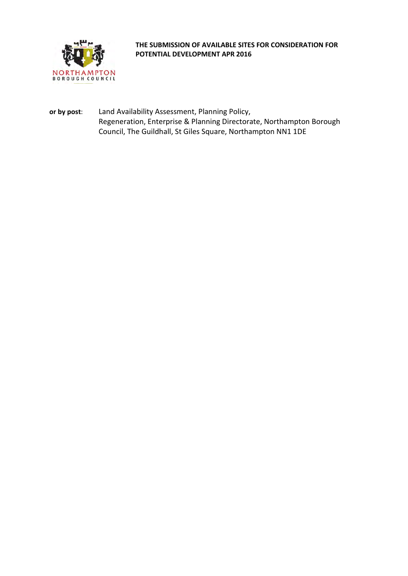

**or by post**: Land Availability Assessment, Planning Policy, Regeneration, Enterprise & Planning Directorate, Northampton Borough Council, The Guildhall, St Giles Square, Northampton NN1 1DE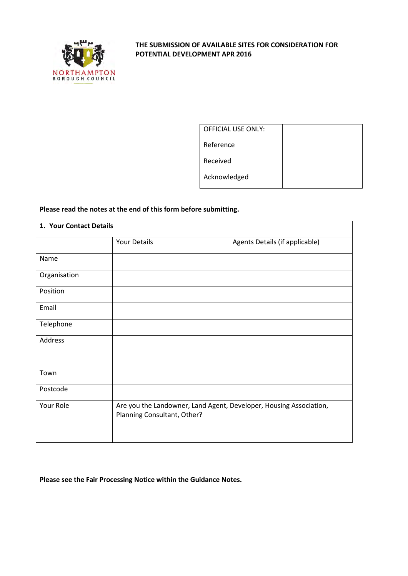

| <b>OFFICIAL USE ONLY:</b> |  |
|---------------------------|--|
| Reference                 |  |
| Received                  |  |
| Acknowledged              |  |

#### **Please read the notes at the end of this form before submitting.**

| 1. Your Contact Details |                             |                                                                    |
|-------------------------|-----------------------------|--------------------------------------------------------------------|
|                         | <b>Your Details</b>         | Agents Details (if applicable)                                     |
| Name                    |                             |                                                                    |
| Organisation            |                             |                                                                    |
| Position                |                             |                                                                    |
| Email                   |                             |                                                                    |
| Telephone               |                             |                                                                    |
| Address                 |                             |                                                                    |
| Town                    |                             |                                                                    |
| Postcode                |                             |                                                                    |
| Your Role               | Planning Consultant, Other? | Are you the Landowner, Land Agent, Developer, Housing Association, |

#### **Please see the Fair Processing Notice within the Guidance Notes.**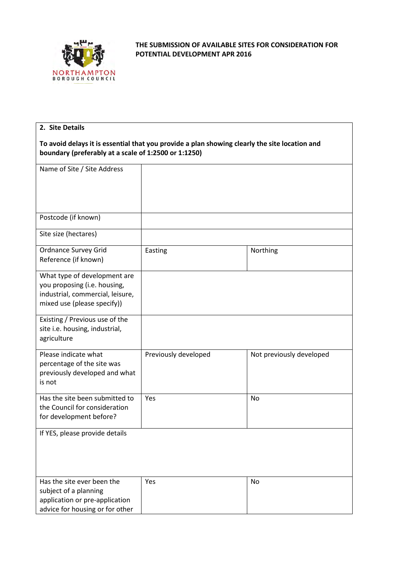

| 2. Site Details                                                                                                                 |                                                                                               |                          |
|---------------------------------------------------------------------------------------------------------------------------------|-----------------------------------------------------------------------------------------------|--------------------------|
| boundary (preferably at a scale of 1:2500 or 1:1250)                                                                            | To avoid delays it is essential that you provide a plan showing clearly the site location and |                          |
| Name of Site / Site Address                                                                                                     |                                                                                               |                          |
|                                                                                                                                 |                                                                                               |                          |
| Postcode (if known)                                                                                                             |                                                                                               |                          |
| Site size (hectares)                                                                                                            |                                                                                               |                          |
| Ordnance Survey Grid<br>Reference (if known)                                                                                    | Easting                                                                                       | Northing                 |
| What type of development are<br>you proposing (i.e. housing,<br>industrial, commercial, leisure,<br>mixed use (please specify)) |                                                                                               |                          |
| Existing / Previous use of the<br>site i.e. housing, industrial,<br>agriculture                                                 |                                                                                               |                          |
| Please indicate what<br>percentage of the site was<br>previously developed and what<br>is not                                   | Previously developed                                                                          | Not previously developed |
| Has the site been submitted to<br>the Council for consideration<br>for development before?                                      | Yes                                                                                           | No                       |
| If YES, please provide details                                                                                                  |                                                                                               |                          |
| Has the site ever been the<br>subject of a planning<br>application or pre-application<br>advice for housing or for other        | Yes                                                                                           | No                       |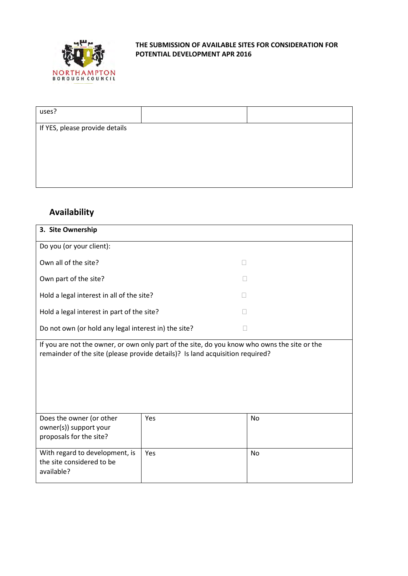

| uses?                          |  |
|--------------------------------|--|
| If YES, please provide details |  |
|                                |  |

## **Availability**

| 3. Site Ownership                                                                                                                                                             |                                                      |           |  |  |  |
|-------------------------------------------------------------------------------------------------------------------------------------------------------------------------------|------------------------------------------------------|-----------|--|--|--|
| Do you (or your client):                                                                                                                                                      |                                                      |           |  |  |  |
| Own all of the site?                                                                                                                                                          |                                                      |           |  |  |  |
| Own part of the site?                                                                                                                                                         |                                                      |           |  |  |  |
| Hold a legal interest in all of the site?                                                                                                                                     |                                                      |           |  |  |  |
| Hold a legal interest in part of the site?                                                                                                                                    |                                                      |           |  |  |  |
|                                                                                                                                                                               | Do not own (or hold any legal interest in) the site? |           |  |  |  |
| If you are not the owner, or own only part of the site, do you know who owns the site or the<br>remainder of the site (please provide details)? Is land acquisition required? |                                                      |           |  |  |  |
| Does the owner (or other<br>owner(s)) support your<br>proposals for the site?                                                                                                 | Yes                                                  | <b>No</b> |  |  |  |
| With regard to development, is<br>Yes<br>the site considered to be<br>available?                                                                                              |                                                      | <b>No</b> |  |  |  |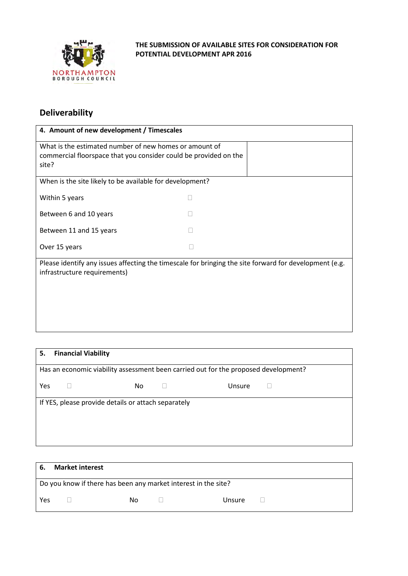

## **Deliverability**

| 4. Amount of new development / Timescales                                                                                              |  |  |  |
|----------------------------------------------------------------------------------------------------------------------------------------|--|--|--|
| What is the estimated number of new homes or amount of<br>commercial floorspace that you consider could be provided on the<br>site?    |  |  |  |
| When is the site likely to be available for development?                                                                               |  |  |  |
| Within 5 years                                                                                                                         |  |  |  |
| Between 6 and 10 years                                                                                                                 |  |  |  |
| Between 11 and 15 years                                                                                                                |  |  |  |
| Over 15 years                                                                                                                          |  |  |  |
| Please identify any issues affecting the timescale for bringing the site forward for development (e.g.<br>infrastructure requirements) |  |  |  |

| 5.                                                                                  |  | <b>Financial Viability</b>                          |     |        |  |  |
|-------------------------------------------------------------------------------------|--|-----------------------------------------------------|-----|--------|--|--|
| Has an economic viability assessment been carried out for the proposed development? |  |                                                     |     |        |  |  |
| Yes                                                                                 |  |                                                     | No. | Unsure |  |  |
|                                                                                     |  | If YES, please provide details or attach separately |     |        |  |  |
|                                                                                     |  |                                                     |     |        |  |  |
|                                                                                     |  |                                                     |     |        |  |  |

| - 6. | <b>Market interest</b>                                         |    |        |  |
|------|----------------------------------------------------------------|----|--------|--|
|      | Do you know if there has been any market interest in the site? |    |        |  |
| Yes  |                                                                | Nο | Unsure |  |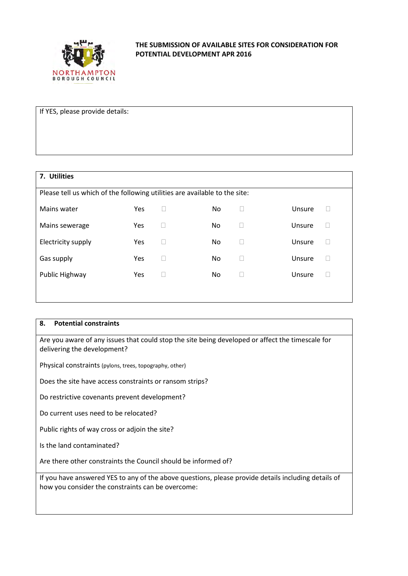

If YES, please provide details:

# **7. Utilities** Please tell us which of the following utilities are available to the site: Mains water **No Clare Hermit Consumer Ves No Clare Unsure D** Mains sewerage The Yes The No Contract Consumer Density of the Visual Mains sewerage Electricity supply **Same State Constructs** Yes No Dissure Dissure Gas supply  $\qquad \qquad \qquad \text{Yes} \qquad \Box \qquad \qquad \text{No} \qquad \Box \qquad \qquad \text{Unsure} \qquad \Box$ Public Highway **Yes COME No CONSUMIC Highway** Yes COME No CONSUMBLE DISSUES ON No

#### **8. Potential constraints**

Are you aware of any issues that could stop the site being developed or affect the timescale for delivering the development?

Physical constraints (pylons, trees, topography, other)

Does the site have access constraints or ransom strips?

Do restrictive covenants prevent development?

Do current uses need to be relocated?

Public rights of way cross or adjoin the site?

Is the land contaminated?

Are there other constraints the Council should be informed of?

If you have answered YES to any of the above questions, please provide details including details of how you consider the constraints can be overcome: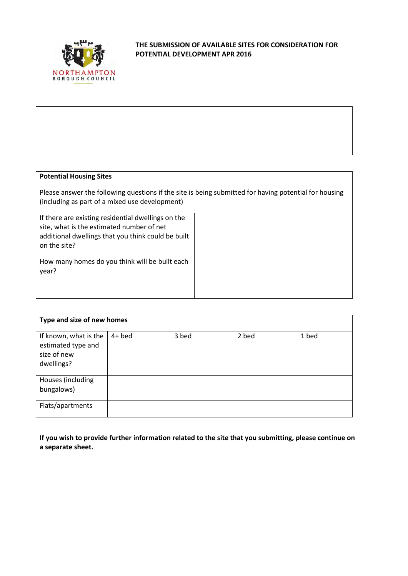

#### **Potential Housing Sites**

Please answer the following questions if the site is being submitted for having potential for housing (including as part of a mixed use development)

| If there are existing residential dwellings on the<br>site, what is the estimated number of net<br>additional dwellings that you think could be built<br>on the site? |  |
|-----------------------------------------------------------------------------------------------------------------------------------------------------------------------|--|
| How many homes do you think will be built each<br>year?                                                                                                               |  |

| Type and size of new homes                                               |          |       |       |       |
|--------------------------------------------------------------------------|----------|-------|-------|-------|
| If known, what is the<br>estimated type and<br>size of new<br>dwellings? | $4+$ bed | 3 bed | 2 bed | 1 bed |
| Houses (including<br>bungalows)                                          |          |       |       |       |
| Flats/apartments                                                         |          |       |       |       |

**If you wish to provide further information related to the site that you submitting, please continue on a separate sheet.**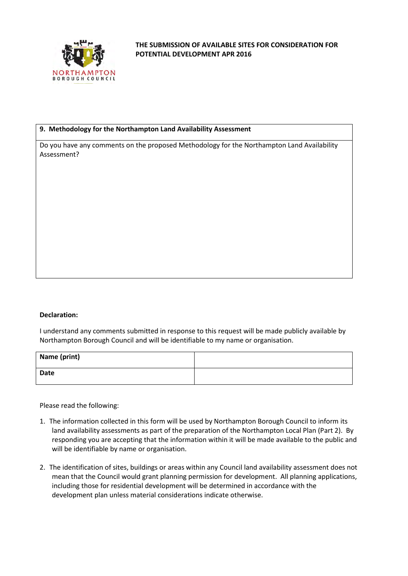

#### **9. Methodology for the Northampton Land Availability Assessment**

Do you have any comments on the proposed Methodology for the Northampton Land Availability Assessment?

#### **Declaration:**

I understand any comments submitted in response to this request will be made publicly available by Northampton Borough Council and will be identifiable to my name or organisation.

| Name (print) |  |
|--------------|--|
| Date         |  |

Please read the following:

- 1. The information collected in this form will be used by Northampton Borough Council to inform its land availability assessments as part of the preparation of the Northampton Local Plan (Part 2). By responding you are accepting that the information within it will be made available to the public and will be identifiable by name or organisation.
- 2. The identification of sites, buildings or areas within any Council land availability assessment does not mean that the Council would grant planning permission for development. All planning applications, including those for residential development will be determined in accordance with the development plan unless material considerations indicate otherwise.